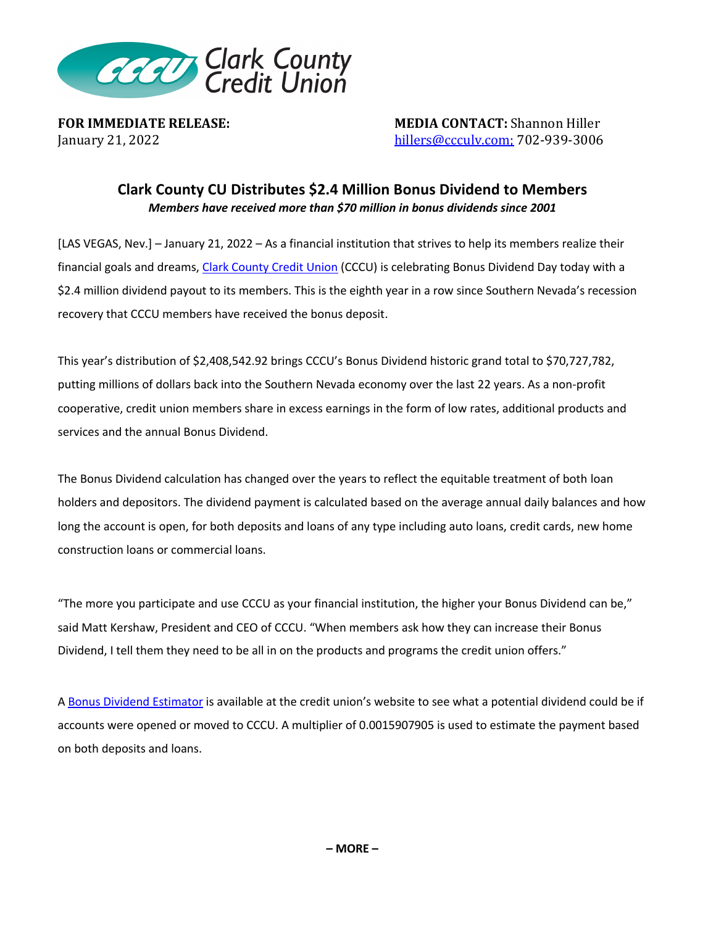

**FOR IMMEDIATE RELEASE: MEDIA CONTACT:** Shannon Hiller January 21, 2022<br> **Alteriate Shannon Hillers** *MEDIA* CONTACT: Shannon Hiller hillers@ccculv.com; 702-939-3006

## **Clark County CU Distributes \$2.4 Million Bonus Dividend to Members**  *Members have received more than \$70 million in bonus dividends since 2001*

[LAS VEGAS, Nev.] – January 21, 2022 – As a financial institution that strives to help its members realize their financial goals and dreams, Clark County Credit Union (CCCU) is celebrating Bonus Dividend Day today with a \$2.4 million dividend payout to its members. This is the eighth year in a row since Southern Nevada's recession recovery that CCCU members have received the bonus deposit.

This year's distribution of \$2,408,542.92 brings CCCU's Bonus Dividend historic grand total to \$70,727,782, putting millions of dollars back into the Southern Nevada economy over the last 22 years. As a non-profit cooperative, credit union members share in excess earnings in the form of low rates, additional products and services and the annual Bonus Dividend.

The Bonus Dividend calculation has changed over the years to reflect the equitable treatment of both loan holders and depositors. The dividend payment is calculated based on the average annual daily balances and how long the account is open, for both deposits and loans of any type including auto loans, credit cards, new home construction loans or commercial loans.

"The more you participate and use CCCU as your financial institution, the higher your Bonus Dividend can be," said Matt Kershaw, President and CEO of CCCU. "When members ask how they can increase their Bonus Dividend, I tell them they need to be all in on the products and programs the credit union offers."

A Bonus Dividend Estimator is available at the credit union's website to see what a potential dividend could be if accounts were opened or moved to CCCU. A multiplier of 0.0015907905 is used to estimate the payment based on both deposits and loans.